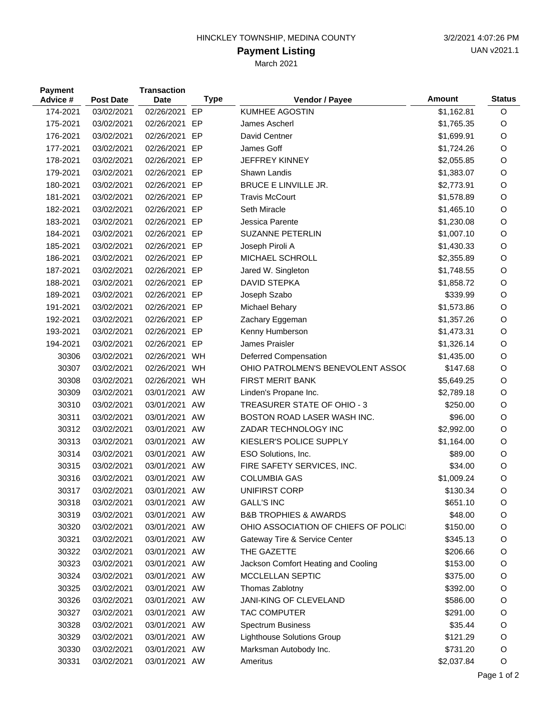## HINCKLEY TOWNSHIP, MEDINA COUNTY 3/2/2021 4:07:26 PM

## **Payment Listing**

March 2021

| <b>Payment</b><br>Advice # | <b>Post Date</b> | <b>Transaction</b><br><b>Date</b> | <b>Type</b> | Vendor / Payee                       | <b>Amount</b> | <b>Status</b> |
|----------------------------|------------------|-----------------------------------|-------------|--------------------------------------|---------------|---------------|
| 174-2021                   | 03/02/2021       | 02/26/2021                        | EP          | <b>KUMHEE AGOSTIN</b>                | \$1,162.81    | O             |
| 175-2021                   | 03/02/2021       | 02/26/2021                        | EP          | James Ascherl                        | \$1,765.35    | O             |
| 176-2021                   | 03/02/2021       | 02/26/2021                        | EP          | David Centner                        | \$1,699.91    | O             |
| 177-2021                   | 03/02/2021       | 02/26/2021                        | EP          | James Goff                           | \$1,724.26    | O             |
| 178-2021                   | 03/02/2021       | 02/26/2021                        | EP          | <b>JEFFREY KINNEY</b>                | \$2,055.85    | O             |
| 179-2021                   | 03/02/2021       | 02/26/2021                        | EP          | Shawn Landis                         | \$1,383.07    | O             |
| 180-2021                   | 03/02/2021       | 02/26/2021                        | EP          | <b>BRUCE E LINVILLE JR.</b>          | \$2,773.91    | O             |
| 181-2021                   | 03/02/2021       | 02/26/2021                        | EP          | <b>Travis McCourt</b>                | \$1,578.89    | O             |
| 182-2021                   | 03/02/2021       | 02/26/2021                        | EP          | Seth Miracle                         | \$1,465.10    | O             |
| 183-2021                   | 03/02/2021       | 02/26/2021                        | EP          | Jessica Parente                      | \$1,230.08    | O             |
| 184-2021                   | 03/02/2021       | 02/26/2021 EP                     |             | SUZANNE PETERLIN                     | \$1,007.10    | O             |
| 185-2021                   | 03/02/2021       | 02/26/2021                        | EP          | Joseph Piroli A                      | \$1,430.33    | O             |
| 186-2021                   | 03/02/2021       | 02/26/2021                        | EP          | MICHAEL SCHROLL                      | \$2,355.89    | O             |
| 187-2021                   | 03/02/2021       | 02/26/2021                        | EP          | Jared W. Singleton                   | \$1,748.55    | O             |
| 188-2021                   | 03/02/2021       | 02/26/2021                        | EP          | DAVID STEPKA                         | \$1,858.72    | O             |
| 189-2021                   | 03/02/2021       | 02/26/2021                        | EP          | Joseph Szabo                         | \$339.99      | O             |
| 191-2021                   | 03/02/2021       | 02/26/2021                        | EP          | Michael Behary                       | \$1,573.86    | O             |
| 192-2021                   | 03/02/2021       | 02/26/2021                        | EP          | Zachary Eggeman                      | \$1,357.26    | O             |
| 193-2021                   | 03/02/2021       | 02/26/2021                        | EP          | Kenny Humberson                      | \$1,473.31    | O             |
| 194-2021                   | 03/02/2021       | 02/26/2021 EP                     |             | James Praisler                       | \$1,326.14    | O             |
| 30306                      | 03/02/2021       | 02/26/2021 WH                     |             | Deferred Compensation                | \$1,435.00    | O             |
| 30307                      | 03/02/2021       | 02/26/2021                        | WH          | OHIO PATROLMEN'S BENEVOLENT ASSO(    | \$147.68      | O             |
| 30308                      | 03/02/2021       | 02/26/2021                        | WH          | <b>FIRST MERIT BANK</b>              | \$5,649.25    | O             |
| 30309                      | 03/02/2021       | 03/01/2021 AW                     |             | Linden's Propane Inc.                | \$2,789.18    | O             |
| 30310                      | 03/02/2021       | 03/01/2021 AW                     |             | TREASURER STATE OF OHIO - 3          | \$250.00      | O             |
| 30311                      | 03/02/2021       | 03/01/2021 AW                     |             | BOSTON ROAD LASER WASH INC.          | \$96.00       | O             |
| 30312                      | 03/02/2021       | 03/01/2021 AW                     |             | ZADAR TECHNOLOGY INC                 | \$2,992.00    | O             |
| 30313                      | 03/02/2021       | 03/01/2021 AW                     |             | KIESLER'S POLICE SUPPLY              | \$1,164.00    | O             |
| 30314                      | 03/02/2021       | 03/01/2021 AW                     |             | ESO Solutions, Inc.                  | \$89.00       | O             |
| 30315                      | 03/02/2021       | 03/01/2021 AW                     |             | FIRE SAFETY SERVICES, INC.           | \$34.00       | O             |
| 30316                      | 03/02/2021       | 03/01/2021 AW                     |             | <b>COLUMBIA GAS</b>                  | \$1,009.24    | O             |
| 30317                      | 03/02/2021       | 03/01/2021 AW                     |             | UNIFIRST CORP                        | \$130.34      | O             |
| 30318                      | 03/02/2021       | 03/01/2021 AW                     |             | <b>GALL'S INC</b>                    | \$651.10      | O             |
| 30319                      | 03/02/2021       | 03/01/2021 AW                     |             | <b>B&amp;B TROPHIES &amp; AWARDS</b> | \$48.00       | O             |
| 30320                      | 03/02/2021       | 03/01/2021 AW                     |             | OHIO ASSOCIATION OF CHIEFS OF POLICI | \$150.00      | O             |
| 30321                      | 03/02/2021       | 03/01/2021 AW                     |             | Gateway Tire & Service Center        | \$345.13      | O             |
| 30322                      | 03/02/2021       | 03/01/2021 AW                     |             | THE GAZETTE                          | \$206.66      | O             |
| 30323                      | 03/02/2021       | 03/01/2021 AW                     |             | Jackson Comfort Heating and Cooling  | \$153.00      | O             |
| 30324                      | 03/02/2021       | 03/01/2021 AW                     |             | MCCLELLAN SEPTIC                     | \$375.00      | O             |
| 30325                      | 03/02/2021       | 03/01/2021 AW                     |             | Thomas Zablotny                      | \$392.00      | O             |
| 30326                      | 03/02/2021       | 03/01/2021 AW                     |             | JANI-KING OF CLEVELAND               | \$586.00      | O             |
| 30327                      | 03/02/2021       | 03/01/2021 AW                     |             | <b>TAC COMPUTER</b>                  | \$291.00      | O             |
| 30328                      | 03/02/2021       | 03/01/2021 AW                     |             | <b>Spectrum Business</b>             | \$35.44       | O             |
| 30329                      | 03/02/2021       | 03/01/2021 AW                     |             | Lighthouse Solutions Group           | \$121.29      | O             |
| 30330                      | 03/02/2021       | 03/01/2021 AW                     |             | Marksman Autobody Inc.               | \$731.20      | $\circ$       |
| 30331                      | 03/02/2021       | 03/01/2021 AW                     |             | Ameritus                             | \$2,037.84    | O             |